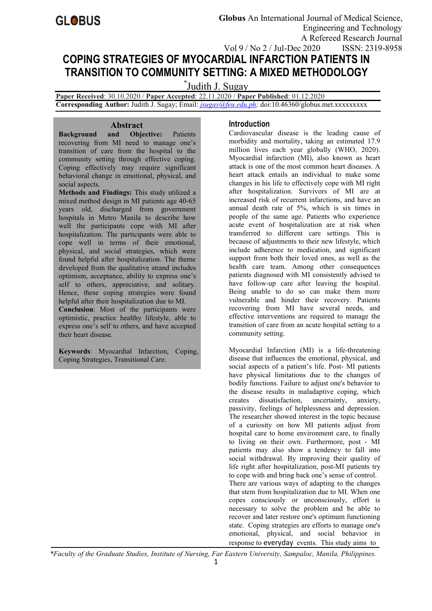# **COPING STRATEGIES OF MYOCARDIAL INFARCTION PATIENTS IN TRANSITION TO COMMUNITY SETTING: A MIXED METHODOLOGY**

\*Judith J. Sugay

**Paper Received**: 30.10.2020 / **Paper Accepted**: 22.11.2020 / **Paper Published**: 01.12.2020 **Corresponding Author:** Judith J. Sugay; Email: *[jsugay@feu.edu.ph](mailto:jsugay@feu.edu.ph);* doi:10.46360/globus.met.xxxxxxxxx

### **Abstract**

**Background and Objective:** Patients recovering from MI need to manage one's transition of care from the hospital to the community setting through effective coping. Coping effectively may require significant behavioral change in emotional, physical, and social aspects.

**Methods and Findings:** This study utilized a mixed method design in MI patients age 40-65 years old, discharged from government hospitals in Metro Manila to describe how well the participants cope with MI after hospitalization. The participants were able to cope well in terms of their emotional, physical, and social strategies, which were found helpful after hospitalization. The theme developed from the qualitative strand includes optimism, acceptance, ability to express one's self to others, appreciative, and solitary. Hence, these coping strategies were found helpful after their hospitalization due to MI.

**Conclusion**: Most of the participants were optimistic, practice healthy lifestyle, able to express one's self to others, and have accepted their heart disease.

**Keywords**: Myocardial Infarction, Coping, Coping Strategies, Transitional Care.

# **Introduction**

Cardiovascular disease is the leading cause of morbidity and mortality, taking an estimated 17.9 million lives each year globally (WHO, 2020). Myocardial infarction (MI), also known as heart attack is one of the most common heart diseases. A heart attack entails an individual to make some changes in his life to effectively cope with MI right after hospitalization. Survivors of MI are at increased risk of recurrent infarctions, and have an annual death rate of 5%, which is six times in people of the same age. Patients who experience acute event of hospitalization are at risk when transferred to different care settings. This is because of adjustments to their new lifestyle, which include adherence to medication, and significant support from both their loved ones, as well as the health care team. Among other consequences patients diagnosed with MI consistently advised to have follow-up care after leaving the hospital. Being unable to do so can make them more vulnerable and hinder their recovery. Patients recovering from MI have several needs, and effective interventions are required to manage the transition of care from an acute hospital setting to a community setting.

Myocardial Infarction (MI) is a life-threatening disease that influences the emotional, physical, and social aspects of a patient's life. Post- MI patients have physical limitations due to the changes of bodily functions. Failure to adjust one's behavior to the disease results in maladaptive coping, which creates dissatisfaction, uncertainty, anxiety, passivity, feelings of helplessness and depression. The researcher showed interest in the topic because of a curiosity on how MI patients adjust from hospital care to home environment care, to finally to living on their own. Furthermore, post - MI patients may also show a tendency to fall into social withdrawal. By improving their quality of life right after hospitalization, post-MI patients try to cope with and bring back one's sense of control. There are various ways of adapting to the changes that stem from hospitalization due to MI. When one copes consciously or unconsciously, effort is necessary to solve the problem and be able to recover and later restore one's optimum functioning state. Coping strategies are efforts to manage one's emotional, physical, and social behavior in response to everyday events. This study aims to

*\*Faculty of the Graduate Studies, Institute of Nursing, Far Eastern University, Sampaloc, Manila, Philippines.*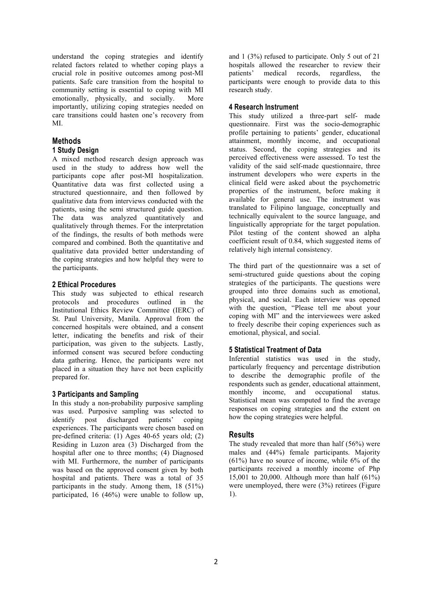understand the coping strategies and identify related factors related to whether coping plays a crucial role in positive outcomes among post-MI patients. Safe care transition from the hospital to community setting is essential to coping with MI emotionally, physically, and socially. More importantly, utilizing coping strategies needed on care transitions could hasten one's recovery from MI.

# **Methods**

# **1 Study Design**

A mixed method research design approach was used in the study to address how well the participants cope after post-MI hospitalization. Quantitative data was first collected using a structured questionnaire, and then followed by qualitative data from interviews conducted with the patients, using the semi structured guide question. The data was analyzed quantitatively and qualitatively through themes. For the interpretation of the findings, the results of both methods were compared and combined. Both the quantitative and qualitative data provided better understanding of the coping strategies and how helpful they were to the participants.

#### **2 Ethical Procedures**

This study was subjected to ethical research protocols and procedures outlined in the Institutional Ethics Review Committee (IERC) of St. Paul University, Manila. Approval from the concerned hospitals were obtained, and a consent letter, indicating the benefits and risk of their participation, was given to the subjects. Lastly, informed consent was secured before conducting data gathering. Hence, the participants were not placed in a situation they have not been explicitly prepared for.

#### **3 Participants and Sampling**

In this study a non-probability purposive sampling was used. Purposive sampling was selected to identify post discharged patients' coping experiences. The participants were chosen based on pre-defined criteria: (1) Ages 40-65 years old; (2) Residing in Luzon area (3) Discharged from the hospital after one to three months; (4) Diagnosed with MI. Furthermore, the number of participants was based on the approved consent given by both hospital and patients. There was a total of 35 participants in the study. Among them, 18 (51%) participated, 16 (46%) were unable to follow up,

and  $1$  (3%) refused to participate. Only 5 out of 21 hospitals allowed the researcher to review their patients' medical records, regardless, the participants were enough to provide data to this research study.

## **4 Research Instrument**

This study utilized a three-part self- made questionnaire. First was the socio-demographic profile pertaining to patients' gender, educational attainment, monthly income, and occupational status. Second, the coping strategies and its perceived effectiveness were assessed. To test the validity of the said self-made questionnaire, three instrument developers who were experts in the clinical field were asked about the psychometric properties of the instrument, before making it available for general use. The instrument was translated to Filipino language, conceptually and technically equivalent to the source language, and linguistically appropriate for the target population. Pilot testing of the content showed an alpha coefficient result of 0.84, which suggested items of relatively high internal consistency.

The third part of the questionnaire was a set of semi-structured guide questions about the coping strategies of the participants. The questions were grouped into three domains such as emotional, physical, and social. Each interview was opened with the question, "Please tell me about your coping with MI" and the interviewees were asked to freely describe their coping experiences such as emotional, physical, and social.

#### **5 Statistical Treatment of Data**

Inferential statistics was used in the study, particularly frequency and percentage distribution to describe the demographic profile of the respondents such as gender, educational attainment, monthly income, and occupational status. Statistical mean was computed to find the average responses on coping strategies and the extent on how the coping strategies were helpful.

# **Results**

The study revealed that more than half (56%) were males and  $(44%)$  female participants. Majority (61%) have no source of income, while 6% of the participants received a monthly income of Php 15,001 to 20,000. Although more than half (61%) were unemployed, there were (3%) retirees (Figure 1).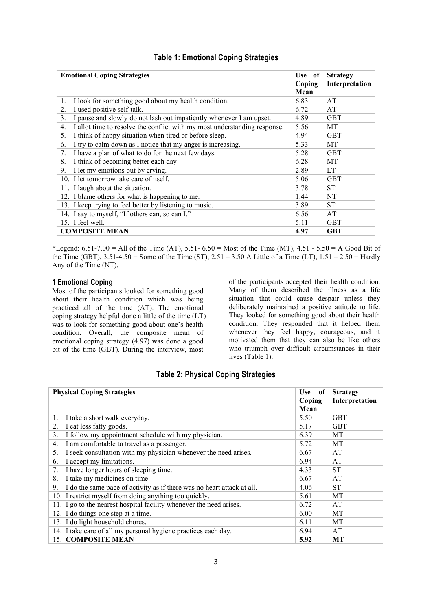| <b>Emotional Coping Strategies</b>                                              | Use of<br>Coping<br>Mean | <b>Strategy</b><br>Interpretation |
|---------------------------------------------------------------------------------|--------------------------|-----------------------------------|
| I look for something good about my health condition.<br>1.                      | 6.83                     | AT                                |
| I used positive self-talk.<br>2.                                                | 6.72                     | AT                                |
| I pause and slowly do not lash out impatiently whenever I am upset.<br>3.       | 4.89                     | <b>GBT</b>                        |
| I allot time to resolve the conflict with my most understanding response.<br>4. | 5.56                     | МT                                |
| I think of happy situation when tired or before sleep.<br>5.                    | 4.94                     | <b>GBT</b>                        |
| I try to calm down as I notice that my anger is increasing.<br>6.               | 5.33                     | MT                                |
| I have a plan of what to do for the next few days.<br>7.                        | 5.28                     | <b>GBT</b>                        |
| I think of becoming better each day<br>8.                                       | 6.28                     | MT                                |
| I let my emotions out by crying.<br>9.                                          | 2.89                     | <b>LT</b>                         |
| 10. I let tomorrow take care of itself.                                         | 5.06                     | <b>GBT</b>                        |
| 11. I laugh about the situation.                                                | 3.78                     | <b>ST</b>                         |
| 12. I blame others for what is happening to me.                                 | 1.44                     | NT                                |
| 13. I keep trying to feel better by listening to music.                         | 3.89                     | <b>ST</b>                         |
| 14. I say to myself, "If others can, so can I."                                 | 6.56                     | AT                                |
| 15. I feel well.                                                                | 5.11                     | <b>GBT</b>                        |
| <b>COMPOSITE MEAN</b>                                                           | 4.97                     | <b>GBT</b>                        |

# **Table 1: Emotional Coping Strategies**

**\***Legend: 6.51-7.00 = All of the Time (AT), 5.51- 6.50 = Most of the Time (MT), 4.51 - 5.50 = A Good Bit of the Time (GBT),  $3.51-4.50 =$  Some of the Time (ST),  $2.51 - 3.50$  A Little of a Time (LT),  $1.51 - 2.50 =$  Hardly Any of the Time (NT).

#### **1 Emotional Coping**

Most of the participants looked for something good about their health condition which was being practiced all of the time (AT). The emotional coping strategy helpful done a little of the time (LT) was to look for something good about one's health condition. Overall, the composite mean of emotional coping strategy (4.97) was done a good bit of the time (GBT). During the interview, most

of the participants accepted their health condition. Many of them described the illness as a life situation that could cause despair unless they deliberately maintained a positive attitude to life. They looked for something good about their health condition. They responded that it helped them whenever they feel happy, courageous, and it motivated them that they can also be like others who triumph over difficult circumstances in their lives (Table 1).

**Strategy**

| <b>Physical Coping Strategies</b> | Use of<br>Coping<br>Mean |
|-----------------------------------|--------------------------|
| 1. I take a short walk everyday.  | 5.50                     |
| 2. I eat less fatty goods.        | 5.17                     |
|                                   |                          |

# **Table 2: Physical Coping Strategies**

|                                                                              | Coping | Interpretation |
|------------------------------------------------------------------------------|--------|----------------|
|                                                                              | Mean   |                |
| I take a short walk everyday.<br>1.                                          | 5.50   | <b>GBT</b>     |
| I eat less fatty goods.                                                      | 5.17   | <b>GBT</b>     |
| I follow my appointment schedule with my physician.<br>3.                    | 6.39   | МT             |
| I am comfortable to travel as a passenger.<br>4.                             | 5.72   | MT             |
| I seek consultation with my physician whenever the need arises.<br>5.        | 6.67   | AT             |
| I accept my limitations.<br>6.                                               | 6.94   | AT             |
| I have longer hours of sleeping time.                                        | 4.33   | <b>ST</b>      |
| I take my medicines on time.<br>8.                                           | 6.67   | AT             |
| I do the same pace of activity as if there was no heart attack at all.<br>9. | 4.06   | <b>ST</b>      |
| 10. I restrict myself from doing anything too quickly.                       | 5.61   | MT             |
| 11. I go to the nearest hospital facility whenever the need arises.          | 6.72   | AT             |
| 12. I do things one step at a time.                                          | 6.00   | MT             |
| 13. I do light household chores.                                             | 6.11   | MT             |
| 14. I take care of all my personal hygiene practices each day.               | 6.94   | AT             |
| 15. COMPOSITE MEAN                                                           | 5.92   | MT             |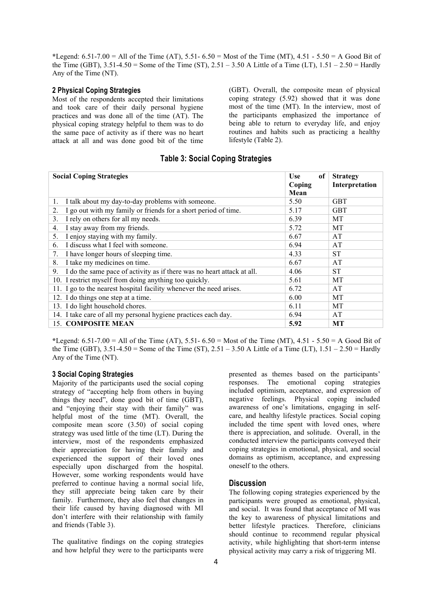**\***Legend: 6.51-7.00 = All of the Time (AT), 5.51- 6.50 = Most of the Time (MT), 4.51 - 5.50 = A Good Bit of the Time (GBT),  $3.51-4.50 =$  Some of the Time (ST),  $2.51 - 3.50$  A Little of a Time (LT),  $1.51 - 2.50 =$  Hardly Any of the Time (NT).

#### **2 Physical Coping Strategies**

Most of the respondents accepted their limitations and took care of their daily personal hygiene practices and was done all of the time (AT). The physical coping strategy helpful to them was to do the same pace of activity as if there was no heart attack at all and was done good bit of the time

(GBT). Overall, the composite mean of physical coping strategy (5.92) showed that it was done most of the time (MT). In the interview, most of the participants emphasized the importance of being able to return to everyday life, and enjoy routines and habits such as practicing a healthy lifestyle (Table 2).

# **Table 3: Social Coping Strategies**

| <b>Social Coping Strategies</b>                                              | <b>Use</b><br>of<br>Coping<br>Mean | <b>Strategy</b><br>Interpretation |
|------------------------------------------------------------------------------|------------------------------------|-----------------------------------|
| I talk about my day-to-day problems with someone.                            | 5.50                               | <b>GBT</b>                        |
| I go out with my family or friends for a short period of time.               | 5.17                               | <b>GBT</b>                        |
| I rely on others for all my needs.<br>3.                                     | 6.39                               | MT                                |
| I stay away from my friends.<br>4.                                           | 5.72                               | MT                                |
| I enjoy staying with my family.<br>5.                                        | 6.67                               | AT                                |
| I discuss what I feel with someone.<br>6.                                    | 6.94                               | AT                                |
| I have longer hours of sleeping time.                                        | 4.33                               | <b>ST</b>                         |
| I take my medicines on time.<br>8.                                           | 6.67                               | AT                                |
| I do the same pace of activity as if there was no heart attack at all.<br>9. | 4.06                               | <b>ST</b>                         |
| 10. I restrict myself from doing anything too quickly.                       | 5.61                               | MT                                |
| 11. I go to the nearest hospital facility whenever the need arises.          | 6.72                               | AT                                |
| 12. I do things one step at a time.                                          | 6.00                               | MT                                |
| 13. I do light household chores.                                             | 6.11                               | МT                                |
| 14. I take care of all my personal hygiene practices each day.               | 6.94                               | AT                                |
| <b>15. COMPOSITE MEAN</b>                                                    | 5.92                               | МT                                |

**\***Legend: 6.51-7.00 = All of the Time (AT), 5.51- 6.50 = Most of the Time (MT), 4.51 - 5.50 = A Good Bit of the Time (GBT),  $3.51-4.50 =$  Some of the Time (ST),  $2.51 - 3.50$  A Little of a Time (LT),  $1.51 - 2.50 =$  Hardly Any of the Time (NT).

#### **3 Social Coping Strategies**

Majority of the participants used the social coping strategy of "accepting help from others in buying things they need", done good bit of time (GBT), and "enjoying their stay with their family" was helpful most of the time (MT). Overall, the composite mean score (3.50) of social coping strategy was used little of the time (LT). During the interview, most of the respondents emphasized their appreciation for having their family and experienced the support of their loved ones especially upon discharged from the hospital. However, some working respondents would have preferred to continue having a normal social life, they still appreciate being taken care by their family. Furthermore, they also feel that changes in their life caused by having diagnosed with MI don't interfere with their relationship with family and friends (Table 3).

The qualitative findings on the coping strategies and how helpful they were to the participants were presented as themes based on the participants' responses. The emotional coping strategies included optimism, acceptance, and expression of negative feelings. Physical coping included awareness of one's limitations, engaging in self care, and healthy lifestyle practices. Social coping included the time spent with loved ones, where there is appreciation, and solitude. Overall, in the conducted interview the participants conveyed their coping strategies in emotional, physical, and social domains as optimism, acceptance, and expressing oneself to the others.

## **Discussion**

The following coping strategies experienced by the participants were grouped as emotional, physical, and social. It was found that acceptance of MI was the key to awareness of physical limitations and better lifestyle practices. Therefore, clinicians should continue to recommend regular physical activity, while highlighting that short-term intense physical activity may carry a risk of triggering MI.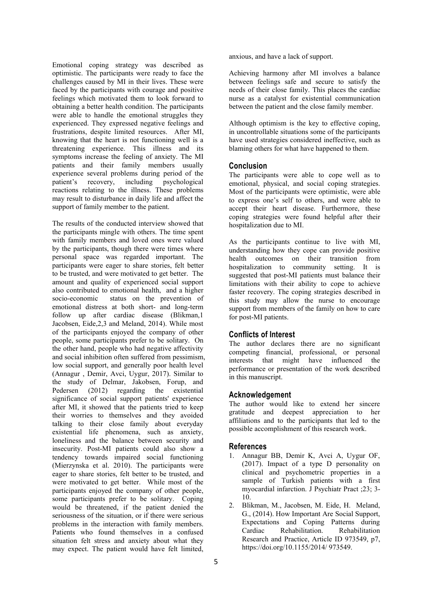Emotional coping strategy was described as optimistic. The participants were ready to face the challenges caused by MI in their lives. These were faced by the participants with courage and positive feelings which motivated them to look forward to obtaining a better health condition. The participants were able to handle the emotional struggles they experienced. They expressed negative feelings and frustrations, despite limited resources. After MI, knowing that the heart is not functioning well is a threatening experience. This illness and its symptoms increase the feeling of anxiety. The MI patients and their family members usually experience several problems during period of the patient's recovery, including psychological a reactions relating to the illness. These problems Most of t may result to disturbance in daily life and affect the support of family member to the patient.<br>The results of the conducted interview showed that

the participants mingle with others. The time spent with family members and loved ones were valued by the participants, though there were times where personal space was regarded important. The participants were eager to share stories, felt better to be trusted, and were motivated to get better. The amount and quality of experienced social support also contributed to emotional health, and a higher socio-economic status on the prevention of emotional distress at both short- and long-term follow up after cardiac disease (Blikman,1 Jacobsen, Eide,2,3 and Meland, 2014). While most of the participants enjoyed the company of other people, some participants prefer to be solitary. On the other hand, people who had negative affectivity and social inhibition often suffered from pessimism, low social support, and generally poor health level (Annagur , Demir, Avci, Uygur, 2017). Similar to the study of Delmar, Jakobsen, Forup, and Pedersen (2012) regarding the existential significance of social support patients' experience after MI, it showed that the patients tried to keep their worries to themselves and they avoided talking to their close family about everyday existential life phenomena, such as anxiety, loneliness and the balance between security and insecurity. Post-MI patients could also show a tendency towards impaired social functioning (Mierzynska et al. 2010). The participants were eager to share stories, felt better to be trusted, and were motivated to get better. While most of the participants enjoyed the company of other people, some participants prefer to be solitary. Coping<br>would be threatened if the patient depied the 2. would be threatened, if the patient denied the seriousness of the situation, or if there were serious problems in the interaction with family members. Patients who found themselves in a confused Cardiac situation felt stress and anxiety about what they may expect. The patient would have felt limited,

anxious, and have a lack of support.

Achieving harmony after MI involves a balance between feelings safe and secure to satisfy the needs of their close family. This places the cardiac nurse as a catalyst for existential communication between the patient and the close family member.

Although optimism is the key to effective coping, in uncontrollable situations some of the participants have used strategies considered ineffective, such as blaming others for what have happened to them.

#### **Conclusion**

The participants were able to cope well as to emotional, physical, and social coping strategies. Most of the participants were optimistic, were able to express one's self to others, and were able to accept their heart disease. Furthermore, these coping strategies were found helpful after their hospitalization due to MI.

As the participants continue to live with MI, understanding how they cope can provide positive health outcomes on their transition from hospitalization to community setting. It is suggested that post-MI patients must balance their limitations with their ability to cope to achieve faster recovery. The coping strategies described in this study may allow the nurse to encourage support from members of the family on how to care for post-MI patients.

#### **Conflicts of Interest**

The author declares there are no significant competing financial, professional, or personal interests that might have influenced the performance or presentation of the work described in this manuscript.

#### **Acknowledgement**

The author would like to extend her sincere gratitude and deepest appreciation to her affiliations and to the participants that led to the possible accomplishment of this research work.

#### **References**

- 1. Annagur BB, Demir K, Avci A, Uygur OF, (2017). Impact of a type D personality on clinical and psychometric properties in a sample of Turkish patients with a first myocardial infarction. J Psychiatr Pract ;23; 3- 10.
- 2. Blikman, M., Jacobsen, M. Eide, H. Meland, G., (2014). How Important Are Social Support, Expectations and Coping Patterns during Rehabilitation. Rehabilitation Research and Practice, Article ID 973549, p7, https://doi.org/10.1155/2014/ 973549.